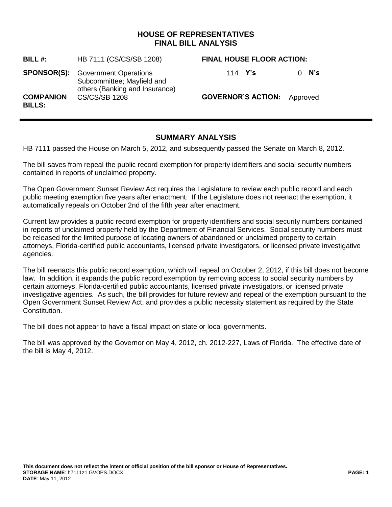## **HOUSE OF REPRESENTATIVES FINAL BILL ANALYSIS**

| BILL#:                            | HB 7111 (CS/CS/SB 1208)                                                                                  | <b>FINAL HOUSE FLOOR ACTION:</b>   |                 |
|-----------------------------------|----------------------------------------------------------------------------------------------------------|------------------------------------|-----------------|
|                                   | <b>SPONSOR(S):</b> Government Operations<br>Subcommittee; Mayfield and<br>others (Banking and Insurance) | 114 <b>Y's</b>                     | N's<br>$\Omega$ |
| <b>COMPANION</b><br><b>BILLS:</b> | <b>CS/CS/SB 1208</b>                                                                                     | <b>GOVERNOR'S ACTION:</b> Approved |                 |

## **SUMMARY ANALYSIS**

HB 7111 passed the House on March 5, 2012, and subsequently passed the Senate on March 8, 2012.

The bill saves from repeal the public record exemption for property identifiers and social security numbers contained in reports of unclaimed property.

The Open Government Sunset Review Act requires the Legislature to review each public record and each public meeting exemption five years after enactment. If the Legislature does not reenact the exemption, it automatically repeals on October 2nd of the fifth year after enactment.

Current law provides a public record exemption for property identifiers and social security numbers contained in reports of unclaimed property held by the Department of Financial Services. Social security numbers must be released for the limited purpose of locating owners of abandoned or unclaimed property to certain attorneys, Florida-certified public accountants, licensed private investigators, or licensed private investigative agencies.

The bill reenacts this public record exemption, which will repeal on October 2, 2012, if this bill does not become law. In addition, it expands the public record exemption by removing access to social security numbers by certain attorneys, Florida-certified public accountants, licensed private investigators, or licensed private investigative agencies. As such, the bill provides for future review and repeal of the exemption pursuant to the Open Government Sunset Review Act, and provides a public necessity statement as required by the State Constitution.

The bill does not appear to have a fiscal impact on state or local governments.

The bill was approved by the Governor on May 4, 2012, ch. 2012-227, Laws of Florida. The effective date of the bill is May 4, 2012.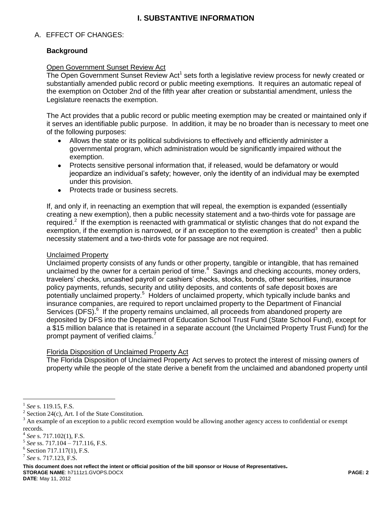# **I. SUBSTANTIVE INFORMATION**

### A. EFFECT OF CHANGES:

### **Background**

#### Open Government Sunset Review Act

The Open Government Sunset Review Act<sup>1</sup> sets forth a legislative review process for newly created or substantially amended public record or public meeting exemptions. It requires an automatic repeal of the exemption on October 2nd of the fifth year after creation or substantial amendment, unless the Legislature reenacts the exemption.

The Act provides that a public record or public meeting exemption may be created or maintained only if it serves an identifiable public purpose. In addition, it may be no broader than is necessary to meet one of the following purposes:

- Allows the state or its political subdivisions to effectively and efficiently administer a governmental program, which administration would be significantly impaired without the exemption.
- Protects sensitive personal information that, if released, would be defamatory or would jeopardize an individual's safety; however, only the identity of an individual may be exempted under this provision.
- Protects trade or business secrets.  $\bullet$

If, and only if, in reenacting an exemption that will repeal, the exemption is expanded (essentially creating a new exemption), then a public necessity statement and a two-thirds vote for passage are required.<sup>2</sup> If the exemption is reenacted with grammatical or stylistic changes that do not expand the exemption, if the exemption is narrowed, or if an exception to the exemption is created<sup>3</sup> then a public necessity statement and a two-thirds vote for passage are not required.

#### Unclaimed Property

Unclaimed property consists of any funds or other property, tangible or intangible, that has remained unclaimed by the owner for a certain period of time. $4$  Savings and checking accounts, money orders, travelers' checks, uncashed payroll or cashiers' checks, stocks, bonds, other securities, insurance policy payments, refunds, security and utility deposits, and contents of safe deposit boxes are potentially unclaimed property.<sup>5</sup> Holders of unclaimed property, which typically include banks and insurance companies, are required to report unclaimed property to the Department of Financial Services (DFS).<sup>6</sup> If the property remains unclaimed, all proceeds from abandoned property are deposited by DFS into the Department of Education School Trust Fund (State School Fund), except for a \$15 million balance that is retained in a separate account (the Unclaimed Property Trust Fund) for the prompt payment of verified claims.<sup>7</sup>

#### Florida Disposition of Unclaimed Property Act

The Florida Disposition of Unclaimed Property Act serves to protect the interest of missing owners of property while the people of the state derive a benefit from the unclaimed and abandoned property until

 $\overline{a}$ 

**This document does not reflect the intent or official position of the bill sponsor or House of Representatives***.* **STORAGE NAME**: h7111z1.GVOPS.DOCX **PAGE: 2**

**DATE**: May 11, 2012

<sup>1</sup> *See* s. 119.15, F.S.

<sup>&</sup>lt;sup>2</sup> Section 24(c), Art. I of the State Constitution.

 $3$  An example of an exception to a public record exemption would be allowing another agency access to confidential or exempt records.

<sup>4</sup> *See* s. 717.102(1), F.S.

<sup>5</sup> *See* ss. 717.104 – 717.116, F.S.

<sup>&</sup>lt;sup>6</sup> Section 717.117(1), F.S.

<sup>7</sup> *See* s. 717.123, F.S.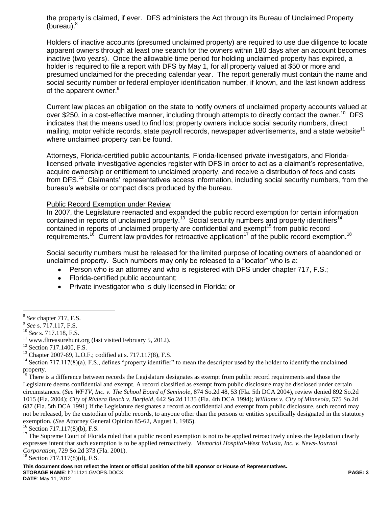the property is claimed, if ever. DFS administers the Act through its Bureau of Unclaimed Property (bureau). $8$ 

Holders of inactive accounts (presumed unclaimed property) are required to use due diligence to locate apparent owners through at least one search for the owners within 180 days after an account becomes inactive (two years). Once the allowable time period for holding unclaimed property has expired, a holder is required to file a report with DFS by May 1, for all property valued at \$50 or more and presumed unclaimed for the preceding calendar year. The report generally must contain the name and social security number or federal employer identification number, if known, and the last known address of the apparent owner.<sup>9</sup>

Current law places an obligation on the state to notify owners of unclaimed property accounts valued at over \$250, in a cost-effective manner, including through attempts to directly contact the owner.<sup>10</sup> DFS indicates that the means used to find lost property owners include social security numbers, direct mailing, motor vehicle records, state payroll records, newspaper advertisements, and a state website<sup>11</sup> where unclaimed property can be found.

Attorneys, Florida-certified public accountants, Florida-licensed private investigators, and Floridalicensed private investigative agencies register with DFS in order to act as a claimant's representative, acquire ownership or entitlement to unclaimed property, and receive a distribution of fees and costs from DFS.<sup>12</sup> Claimants' representatives access information, including social security numbers, from the bureau's website or compact discs produced by the bureau.

#### Public Record Exemption under Review

In 2007, the Legislature reenacted and expanded the public record exemption for certain information contained in reports of unclaimed property.<sup>13</sup> Social security numbers and property identifiers<sup>14</sup> contained in reports of unclaimed property are confidential and exempt<sup>15</sup> from public record requirements.<sup>16</sup> Current law provides for retroactive application<sup>17</sup> of the public record exemption.<sup>18</sup>

Social security numbers must be released for the limited purpose of locating owners of abandoned or unclaimed property. Such numbers may only be released to a "locator" who is a:

- Person who is an attorney and who is registered with DFS under chapter 717, F.S.;  $\bullet$
- Florida-certified public accountant;
- Private investigator who is duly licensed in Florida; or

 $16$  Section 717.117(8)(b), F.S.

 $\overline{a}$ 8 *See* chapter 717, F.S.

<sup>9</sup> *See* s. 717.117, F.S.

<sup>10</sup> *See* s. 717.118, F.S.

 $11$  www.fltreasurehunt.org (last visited February 5, 2012).

<sup>&</sup>lt;sup>12</sup> Section 717.1400, F.S.

<sup>&</sup>lt;sup>13</sup> Chapter 2007-69, L.O.F.; codified at s. 717.117(8), F.S.

 $14$  Section 717.117(8)(a), F.S., defines "property identifier" to mean the descriptor used by the holder to identify the unclaimed property.

<sup>&</sup>lt;sup>15</sup> There is a difference between records the Legislature designates as exempt from public record requirements and those the Legislature deems confidential and exempt. A record classified as exempt from public disclosure may be disclosed under certain circumstances. (*See WFTV, Inc. v. The School Board of Seminole*, 874 So.2d 48, 53 (Fla. 5th DCA 2004), review denied 892 So.2d 1015 (Fla. 2004); *City of Riviera Beach v. Barfield*, 642 So.2d 1135 (Fla. 4th DCA 1994); *Williams v. City of Minneola*, 575 So.2d 687 (Fla. 5th DCA 1991) If the Legislature designates a record as confidential and exempt from public disclosure, such record may not be released, by the custodian of public records, to anyone other than the persons or entities specifically designated in the statutory exemption. (*See* Attorney General Opinion 85-62, August 1, 1985).

 $17$  The Supreme Court of Florida ruled that a public record exemption is not to be applied retroactively unless the legislation clearly expresses intent that such exemption is to be applied retroactively. *Memorial Hospital-West Volusia, Inc. v. News-Journal Corporation*, 729 So.2d 373 (Fla. 2001).

<sup>18</sup> Section 717.117(8)(d), F.S.